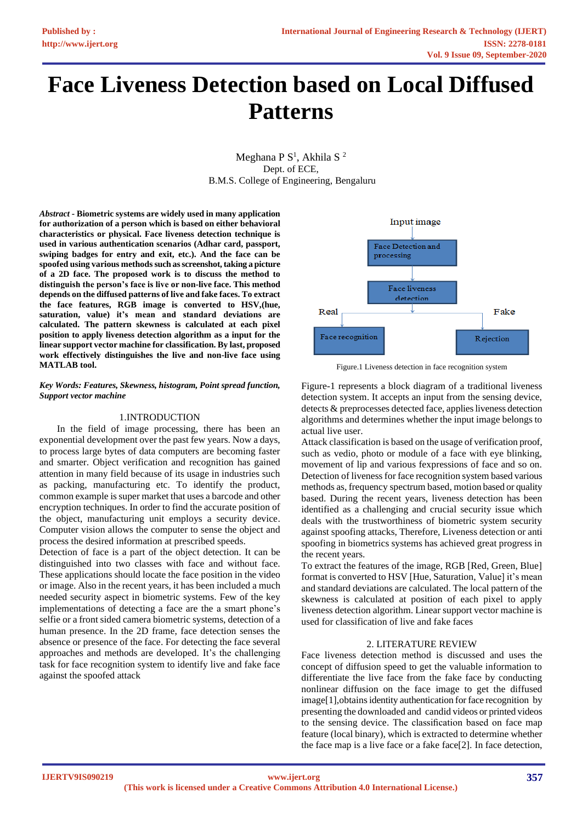# **Face Liveness Detection based on Local Diffused Patterns**

Meghana P $S^1$ , Akhila S $^2$ Dept. of ECE, B.M.S. College of Engineering, Bengaluru

*Abstract* **- Biometric systems are widely used in many application for authorization of a person which is based on either behavioral characteristics or physical. Face liveness detection technique is used in various authentication scenarios (Adhar card, passport, swiping badges for entry and exit, etc.). And the face can be spoofed using various methods such as screenshot, taking a picture of a 2D face. The proposed work is to discuss the method to distinguish the person's face is live or non-live face. This method depends on the diffused patterns of live and fake faces. To extract the face features, RGB image is converted to HSV,(hue, saturation, value) it's mean and standard deviations are calculated. The pattern skewness is calculated at each pixel position to apply liveness detection algorithm as a input for the linear support vector machine for classification. By last, proposed work effectively distinguishes the live and non-live face using MATLAB tool.**

#### *Key Words: Features, Skewness, histogram, Point spread function, Support vector machine*

# 1.INTRODUCTION

In the field of image processing, there has been an exponential development over the past few years. Now a days, to process large bytes of data computers are becoming faster and smarter. Object verification and recognition has gained attention in many field because of its usage in industries such as packing, manufacturing etc. To identify the product, common example is super market that uses a barcode and other encryption techniques. In order to find the accurate position of the object, manufacturing unit employs a security device. Computer vision allows the computer to sense the object and process the desired information at prescribed speeds.

Detection of face is a part of the object detection. It can be distinguished into two classes with face and without face. These applications should locate the face position in the video or image. Also in the recent years, it has been included a much needed security aspect in biometric systems. Few of the key implementations of detecting a face are the a smart phone's selfie or a front sided camera biometric systems, detection of a human presence. In the 2D frame, face detection senses the absence or presence of the face. For detecting the face several approaches and methods are developed. It's the challenging task for face recognition system to identify live and fake face against the spoofed attack



Figure.1 Liveness detection in face recognition system

Figure-1 represents a block diagram of a traditional liveness detection system. It accepts an input from the sensing device, detects & preprocesses detected face, applies liveness detection algorithms and determines whether the input image belongs to actual live user.

Attack classification is based on the usage of verification proof, such as vedio, photo or module of a face with eye blinking, movement of lip and various fexpressions of face and so on. Detection of liveness for face recognition system based various methods as, frequency spectrum based, motion based or quality based. During the recent years, liveness detection has been identified as a challenging and crucial security issue which deals with the trustworthiness of biometric system security against spoofing attacks, Therefore, Liveness detection or anti spoofing in biometrics systems has achieved great progress in the recent years.

To extract the features of the image, RGB [Red, Green, Blue] format is converted to HSV [Hue, Saturation, Value] it's mean and standard deviations are calculated. The local pattern of the skewness is calculated at position of each pixel to apply liveness detection algorithm. Linear support vector machine is used for classification of live and fake faces

# 2. LITERATURE REVIEW

Face liveness detection method is discussed and uses the concept of diffusion speed to get the valuable information to differentiate the live face from the fake face by conducting nonlinear diffusion on the face image to get the diffused image[1], obtains identity authentication for face recognition by presenting the downloaded and candid videos or printed videos to the sensing device. The classification based on face map feature (local binary), which is extracted to determine whether the face map is a live face or a fake face[2]. In face detection,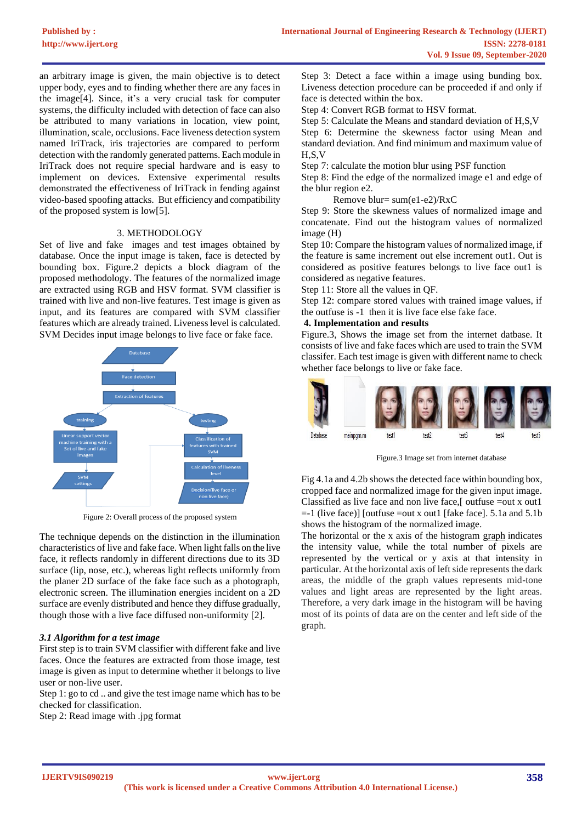an arbitrary image is given, the main objective is to detect upper body, eyes and to finding whether there are any faces in the image[4]. Since, it's a very crucial task for computer systems, the difficulty included with detection of face can also be attributed to many variations in location, view point, illumination, scale, occlusions. Face liveness detection system named IriTrack, iris trajectories are compared to perform detection with the randomly generated patterns. Each module in IriTrack does not require special hardware and is easy to implement on devices. Extensive experimental results demonstrated the effectiveness of IriTrack in fending against video-based spoofing attacks. But efficiency and compatibility of the proposed system is low[5].

### 3. METHODOLOGY

Set of live and fake images and test images obtained by database. Once the input image is taken, face is detected by bounding box. Figure.2 depicts a block diagram of the proposed methodology. The features of the normalized image are extracted using RGB and HSV format. SVM classifier is trained with live and non-live features. Test image is given as input, and its features are compared with SVM classifier features which are already trained. Liveness level is calculated. SVM Decides input image belongs to live face or fake face.



Figure 2: Overall process of the proposed system

The technique depends on the distinction in the illumination characteristics of live and fake face. When light falls on the live face, it reflects randomly in different directions due to its 3D surface (lip, nose, etc.), whereas light reflects uniformly from the planer 2D surface of the fake face such as a photograph, electronic screen. The illumination energies incident on a 2D surface are evenly distributed and hence they diffuse gradually, though those with a live face diffused non-uniformity [2].

#### *3.1 Algorithm for a test image*

First step is to train SVM classifier with different fake and live faces. Once the features are extracted from those image, test image is given as input to determine whether it belongs to live user or non-live user.

Step 1: go to cd .. and give the test image name which has to be checked for classification.

Step 2: Read image with .jpg format

Step 3: Detect a face within a image using bunding box. Liveness detection procedure can be proceeded if and only if face is detected within the box.

Step 4: Convert RGB format to HSV format.

Step 5: Calculate the Means and standard deviation of H,S,V Step 6: Determine the skewness factor using Mean and standard deviation. And find minimum and maximum value of H,S,V

Step 7: calculate the motion blur using PSF function

Step 8: Find the edge of the normalized image e1 and edge of the blur region e2.

Remove blur= sum(e1-e2)/RxC

Step 9: Store the skewness values of normalized image and concatenate. Find out the histogram values of normalized image (H)

Step 10: Compare the histogram values of normalized image, if the feature is same increment out else increment out1. Out is considered as positive features belongs to live face out1 is considered as negative features.

Step 11: Store all the values in QF.

Step 12: compare stored values with trained image values, if the outfuse is -1 then it is live face else fake face.

## **4. Implementation and results**

Figure.3, Shows the image set from the internet datbase. It consists of live and fake faces which are used to train the SVM classifer. Each test image is given with different name to check whether face belongs to live or fake face.



Figure.3 Image set from internet database

Fig 4.1a and 4.2b shows the detected face within bounding box, cropped face and normalized image for the given input image. Classified as live face and non live face,[ outfuse =out x out1  $=$ -1 (live face)] [outfuse  $=$ out x out1 [fake face]. 5.1a and 5.1b shows the histogram of the normalized image.

The horizontal or the x axis of the histogram [graph](https://en.wikipedia.org/wiki/Graphics) indicates the intensity value, while the total number of pixels are represented by the vertical or y axis at that intensity in particular. At the horizontal axis of left side represents the dark areas, the middle of the graph values represents mid-tone values and light areas are represented by the light areas. Therefore, a very dark image in the histogram will be having most of its points of data are on the center and left side of the graph.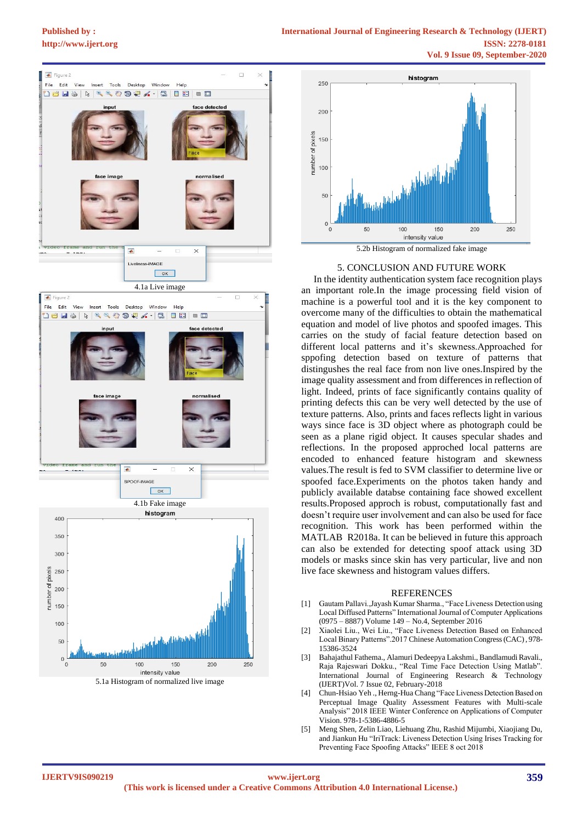# **[Published by :](www.ijert.org)**





#### 5. CONCLUSION AND FUTURE WORK

 In the identity authentication system face recognition plays an important role.In the image processing field vision of machine is a powerful tool and it is the key component to overcome many of the difficulties to obtain the mathematical equation and model of live photos and spoofed images. This carries on the study of facial feature detection based on different local patterns and it's skewness.Approached for sppofing detection based on texture of patterns that distingushes the real face from non live ones.Inspired by the image quality assessment and from differences in reflection of light. Indeed, prints of face significantly contains quality of printing defects this can be very well detected by the use of texture patterns. Also, prints and faces reflects light in various ways since face is 3D object where as photograph could be seen as a plane rigid object. It causes specular shades and reflections. In the proposed approched local patterns are encoded to enhanced feature histogram and skewness values.The result is fed to SVM classifier to determine live or spoofed face.Experiments on the photos taken handy and publicly available databse containing face showed excellent results.Proposed approch is robust, computationally fast and doesn't require user involvement and can also be used for face recognition. This work has been performed within the MATLAB R2018a. It can be believed in future this approach can also be extended for detecting spoof attack using 3D models or masks since skin has very particular, live and non live face skewness and histogram values differs.

#### REFERENCES

- [1] Gautam Pallavi.,Jayash Kumar Sharma., "Face Liveness Detection using Local Diffused Patterns" International Journal of Computer Applications (0975 – 8887) Volume 149 – No.4, September 2016
- [2] Xiaolei Liu., Wei Liu., "Face Liveness Detection Based on Enhanced Local Binary Patterns".2017 Chinese Automation Congress (CAC), 978- 15386-3524
- [3] Bahajathul Fathema., Alamuri Dedeepya Lakshmi., Bandlamudi Ravali., Raja Rajeswari Dokku., "Real Time Face Detection Using Matlab". International Journal of Engineering Research & Technology (IJERT)Vol. 7 Issue 02, February-2018
- [4] Chun-Hsiao Yeh ., Herng-Hua Chang "Face Liveness Detection Based on Perceptual Image Quality Assessment Features with Multi-scale Analysis" 2018 IEEE Winter Conference on Applications of Computer Vision. 978-1-5386-4886-5
- [5] Meng Shen, Zelin Liao, Liehuang Zhu, Rashid Mijumbi, Xiaojiang Du, and Jiankun Hu "IriTrack: Liveness Detection Using Irises Tracking for Preventing Face Spoofing Attacks" IEEE 8 oct 2018